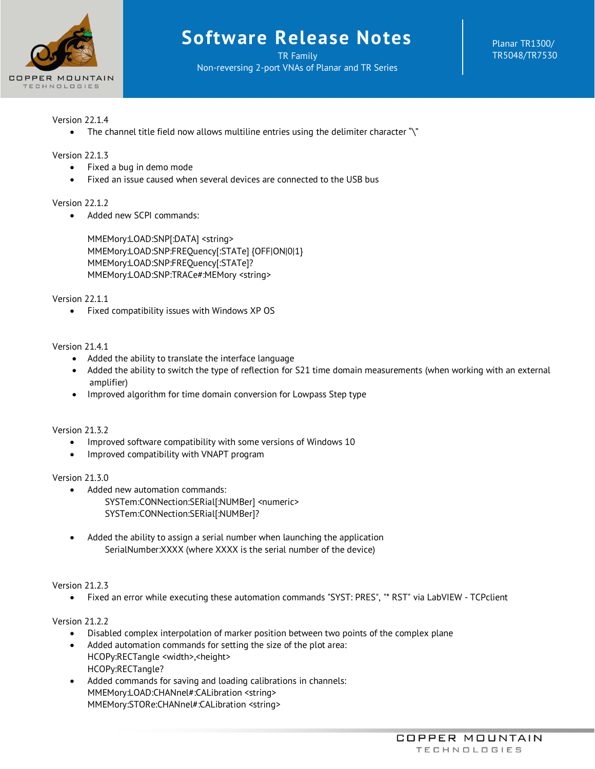

TR Family Non-reversing 2-port VNAs of Planar and TR Series Planar TR1300/ TR5048/TR7530

# Version 22.1.4

• The channel title field now allows multiline entries using the delimiter character "\"

## Version 22.1.3

- Fixed a bug in demo mode
- Fixed an issue caused when several devices are connected to the USB bus

## Version 22.1.2

• Added new SCPI commands:

MMEMory:LOAD:SNP[:DATA] <string> MMEMory:LOAD:SNP:FREQuency[:STATe] {OFF|ON|0|1} MMEMory:LOAD:SNP:FREQuency[:STATe]? MMEMory:LOAD:SNP:TRACe#:MEMory <string>

Version 22.1.1

• Fixed compatibility issues with Windows XP OS

## Version 21.4.1

- Added the ability to translate the interface language
- Added the ability to switch the type of reflection for S21 time domain measurements (when working with an external amplifier)
- Improved algorithm for time domain conversion for Lowpass Step type

## Version 21.3.2

- Improved software compatibility with some versions of Windows 10
- Improved compatibility with VNAPT program

## Version 21.3.0

- Added new automation commands: SYSTem:CONNection:SERial[:NUMBer] <numeric> SYSTem:CONNection:SERial[:NUMBer]?
- Added the ability to assign a serial number when launching the application SerialNumber:XXXX (where XXXX is the serial number of the device)

## Version 21.2.3

• Fixed an error while executing these automation commands "SYST: PRES", "\* RST" via LabVIEW - TCPclient

# Version 21.2.2

- Disabled complex interpolation of marker position between two points of the complex plane
- Added automation commands for setting the size of the plot area: HCOPy:RECTangle <width>,<height> HCOPy:RECTangle?
- Added commands for saving and loading calibrations in channels: MMEMory:LOAD:CHANnel#:CALibration <string> MMEMory:STORe:CHANnel#:CALibration <string>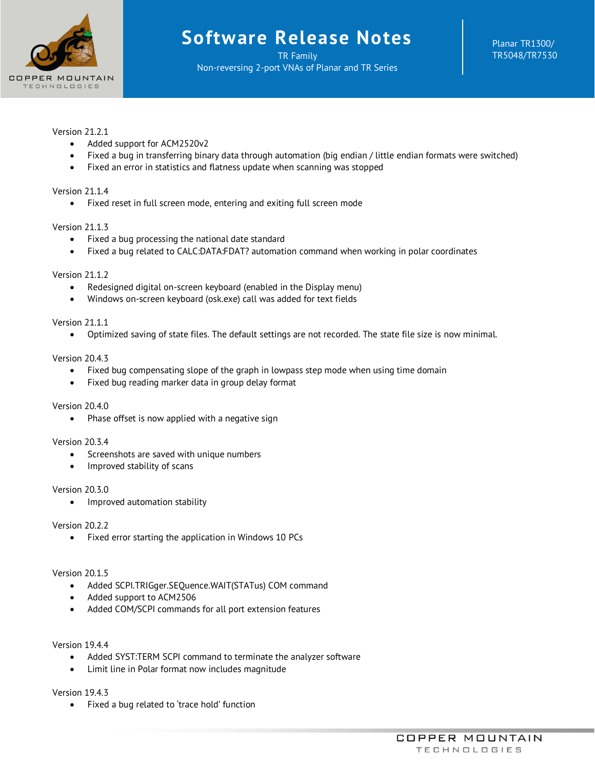

TR Family Non-reversing 2-port VNAs of Planar and TR Series Planar TR1300/ TR5048/TR7530

# Version 21.2.1

- Added support for ACM2520v2
- Fixed a bug in transferring binary data through automation (big endian / little endian formats were switched)
- Fixed an error in statistics and flatness update when scanning was stopped

## Version 21.1.4

• Fixed reset in full screen mode, entering and exiting full screen mode

## Version 21.1.3

- Fixed a bug processing the national date standard
- Fixed a bug related to CALC:DATA:FDAT? automation command when working in polar coordinates

## Version 21.1.2

- Redesigned digital on-screen keyboard (enabled in the Display menu)
- Windows on-screen keyboard (osk.exe) call was added for text fields

## Version 21.1.1

• Optimized saving of state files. The default settings are not recorded. The state file size is now minimal.

## Version 20.4.3

- Fixed bug compensating slope of the graph in lowpass step mode when using time domain
- Fixed bug reading marker data in group delay format

## Version 20.4.0

• Phase offset is now applied with a negative sign

## Version 20.3.4

- Screenshots are saved with unique numbers
- Improved stability of scans

## Version 20.3.0

• Improved automation stability

## Version 20.2.2

• Fixed error starting the application in Windows 10 PCs

## Version 20.1.5

- Added SCPI.TRIGger.SEQuence.WAIT(STATus) COM command
- Added support to ACM2506
- Added COM/SCPI commands for all port extension features

## Version 19.4.4

- Added SYST:TERM SCPI command to terminate the analyzer software
- Limit line in Polar format now includes magnitude

## Version 19.4.3

• Fixed a bug related to 'trace hold' function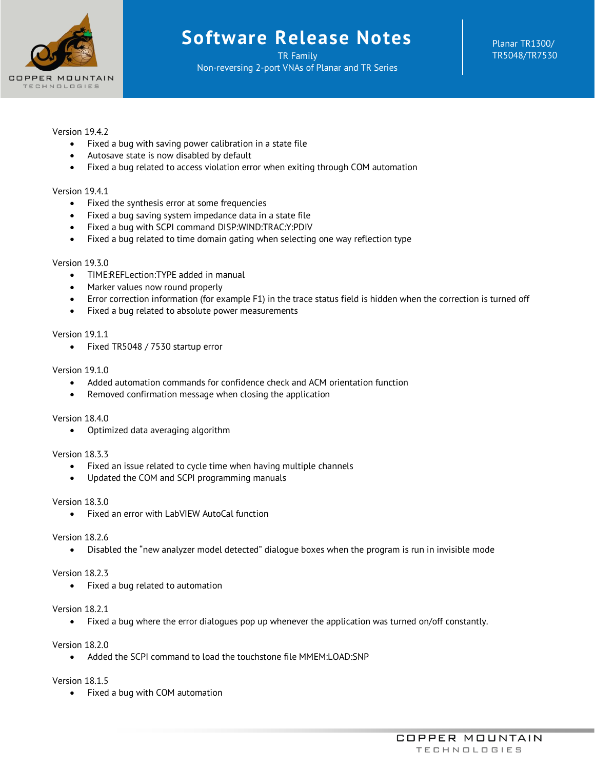

TR Family Non-reversing 2-port VNAs of Planar and TR Series Planar TR1300/ TR5048/TR7530

# Version 1942

- Fixed a bug with saving power calibration in a state file
- Autosave state is now disabled by default
- Fixed a bug related to access violation error when exiting through COM automation

# Version 19.4.1

- Fixed the synthesis error at some frequencies
- Fixed a bug saving system impedance data in a state file
- Fixed a bug with SCPI command DISP:WIND:TRAC:Y:PDIV
- Fixed a bug related to time domain gating when selecting one way reflection type

## Version 19.3.0

- TIME:REFLection:TYPE added in manual
- Marker values now round properly
- Error correction information (for example F1) in the trace status field is hidden when the correction is turned off
- Fixed a bug related to absolute power measurements

## Version 19.1.1

• Fixed TR5048 / 7530 startup error

## Version 19.1.0

- Added automation commands for confidence check and ACM orientation function
- Removed confirmation message when closing the application

## Version 18.4.0

• Optimized data averaging algorithm

# Version 18.3.3

- Fixed an issue related to cycle time when having multiple channels
- Updated the COM and SCPI programming manuals

## Version 18.3.0

• Fixed an error with LabVIEW AutoCal function

## Version 18.2.6

• Disabled the "new analyzer model detected" dialogue boxes when the program is run in invisible mode

## Version 18.2.3

• Fixed a bug related to automation

## Version 18.2.1

• Fixed a bug where the error dialogues pop up whenever the application was turned on/off constantly.

## Version 18.2.0

• Added the SCPI command to load the touchstone file MMEM:LOAD:SNP

# Version 18.1.5

• Fixed a bug with COM automation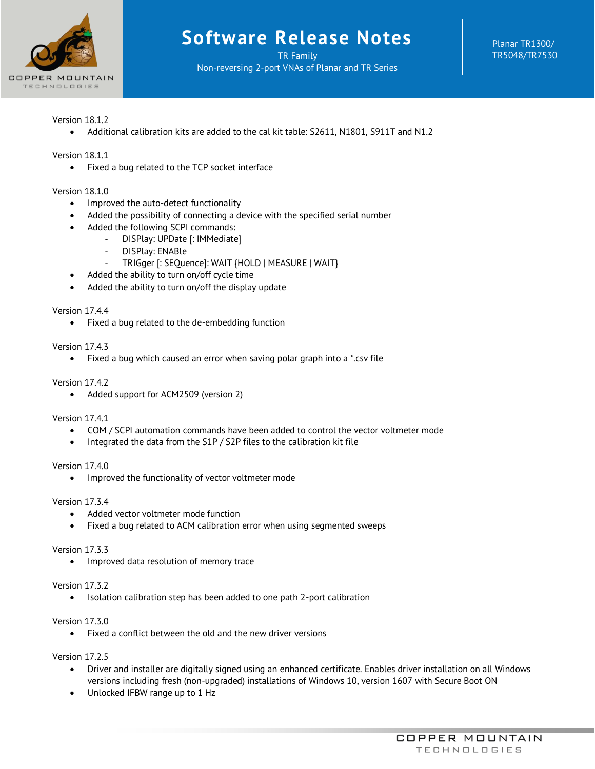

TR Family Non-reversing 2-port VNAs of Planar and TR Series Planar TR1300/ TR5048/TR7530

# Version 18.1.2

• Additional calibration kits are added to the cal kit table: S2611, N1801, S911T and N1.2

# Version 18.1.1

• Fixed a bug related to the TCP socket interface

## Version 18.1.0

- Improved the auto-detect functionality
- Added the possibility of connecting a device with the specified serial number
- Added the following SCPI commands:
	- DISPlay: UPDate [: IMMediate]
		- DISPlay: ENABle
	- TRIGger [: SEQuence]: WAIT {HOLD | MEASURE | WAIT}
- Added the ability to turn on/off cycle time
- Added the ability to turn on/off the display update

## Version 17.4.4

• Fixed a bug related to the de-embedding function

## Version 17.4.3

• Fixed a bug which caused an error when saving polar graph into a \*.csv file

## Version 17.4.2

• Added support for ACM2509 (version 2)

Version 17.4.1

- COM / SCPI automation commands have been added to control the vector voltmeter mode
- Integrated the data from the S1P / S2P files to the calibration kit file

Version 17.4.0

• Improved the functionality of vector voltmeter mode

## Version 17.3.4

- Added vector voltmeter mode function
- Fixed a bug related to ACM calibration error when using segmented sweeps

## Version 17.3.3

• Improved data resolution of memory trace

## Version 17.3.2

• Isolation calibration step has been added to one path 2-port calibration

## Version 17.3.0

• Fixed a conflict between the old and the new driver versions

Version 17.2.5

- Driver and installer are digitally signed using an enhanced certificate. Enables driver installation on all Windows versions including fresh (non-upgraded) installations of Windows 10, version 1607 with Secure Boot ON
- Unlocked IFBW range up to 1 Hz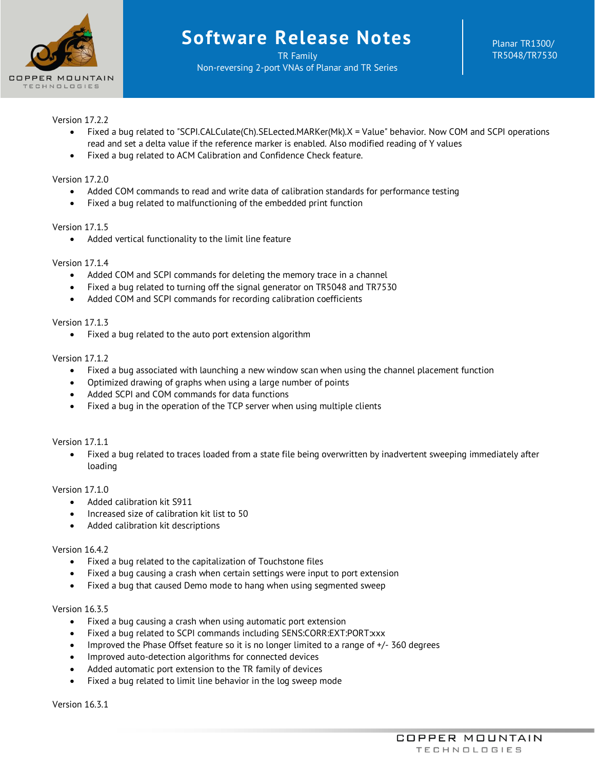

TR Family Non-reversing 2-port VNAs of Planar and TR Series Planar TR1300/ TR5048/TR7530

# Version 17.2.2

- Fixed a bug related to "SCPI.CALCulate(Ch).SELected.MARKer(Mk).X = Value" behavior. Now COM and SCPI operations read and set a delta value if the reference marker is enabled. Also modified reading of Y values
- Fixed a bug related to ACM Calibration and Confidence Check feature.

## Version 17.2.0

- Added COM commands to read and write data of calibration standards for performance testing
- Fixed a bug related to malfunctioning of the embedded print function

## Version 1715

• Added vertical functionality to the limit line feature

## Version 17.1.4

- Added COM and SCPI commands for deleting the memory trace in a channel
- Fixed a bug related to turning off the signal generator on TR5048 and TR7530
- Added COM and SCPI commands for recording calibration coefficients

## Version 17.1.3

• Fixed a bug related to the auto port extension algorithm

## Version 17.1.2

- Fixed a bug associated with launching a new window scan when using the channel placement function
- Optimized drawing of graphs when using a large number of points
- Added SCPI and COM commands for data functions
- Fixed a bug in the operation of the TCP server when using multiple clients

## Version 1711

• Fixed a bug related to traces loaded from a state file being overwritten by inadvertent sweeping immediately after loading

## Version 17.1.0

- Added calibration kit S911
- Increased size of calibration kit list to 50
- Added calibration kit descriptions

## Version 16.4.2

- Fixed a bug related to the capitalization of Touchstone files
- Fixed a bug causing a crash when certain settings were input to port extension
- Fixed a bug that caused Demo mode to hang when using segmented sweep

## Version 16.3.5

- Fixed a bug causing a crash when using automatic port extension
- Fixed a bug related to SCPI commands including SENS:CORR:EXT:PORT:xxx
- Improved the Phase Offset feature so it is no longer limited to a range of +/- 360 degrees
- Improved auto-detection algorithms for connected devices
- Added automatic port extension to the TR family of devices
- Fixed a bug related to limit line behavior in the log sweep mode

Version 16.3.1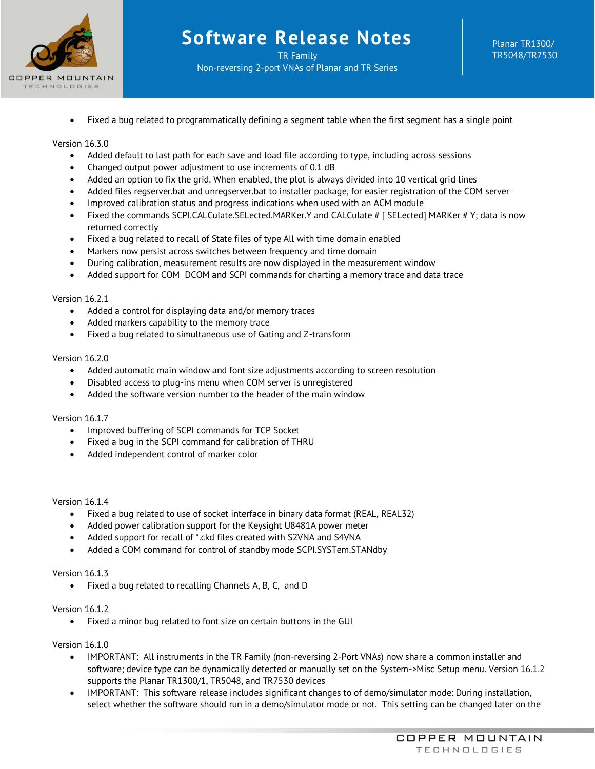

• Fixed a bug related to programmatically defining a segment table when the first segment has a single point

## Version 16.3.0

- Added default to last path for each save and load file according to type, including across sessions
- Changed output power adjustment to use increments of 0.1 dB
- Added an option to fix the grid. When enabled, the plot is always divided into 10 vertical grid lines
- Added files regserver.bat and unregserver.bat to installer package, for easier registration of the COM server
- Improved calibration status and progress indications when used with an ACM module
- Fixed the commands SCPI.CALCulate.SELected.MARKer.Y and CALCulate # [ SELected] MARKer # Y; data is now returned correctly
- Fixed a bug related to recall of State files of type All with time domain enabled
- Markers now persist across switches between frequency and time domain
- During calibration, measurement results are now displayed in the measurement window
- Added support for COM DCOM and SCPI commands for charting a memory trace and data trace

## Version 16.2.1

- Added a control for displaying data and/or memory traces
- Added markers capability to the memory trace
- Fixed a bug related to simultaneous use of Gating and Z-transform

## Version 16.2.0

- Added automatic main window and font size adjustments according to screen resolution
- Disabled access to plug-ins menu when COM server is unregistered
- Added the software version number to the header of the main window

## Version 16.1.7

- Improved buffering of SCPI commands for TCP Socket
- Fixed a bug in the SCPI command for calibration of THRU
- Added independent control of marker color

## Version 16.1.4

- Fixed a bug related to use of socket interface in binary data format (REAL, REAL32)
- Added power calibration support for the Keysight U8481A power meter
- Added support for recall of \*.ckd files created with S2VNA and S4VNA
- Added a COM command for control of standby mode SCPI.SYSTem.STANdby

## Version 16.1.3

• Fixed a bug related to recalling Channels A, B, C, and D

## Version 16.1.2

• Fixed a minor bug related to font size on certain buttons in the GUI

## Version 16.1.0

- IMPORTANT: All instruments in the TR Family (non-reversing 2-Port VNAs) now share a common installer and software; device type can be dynamically detected or manually set on the System->Misc Setup menu. Version 16.1.2 supports the Planar TR1300/1, TR5048, and TR7530 devices
- IMPORTANT: This software release includes significant changes to of demo/simulator mode: During installation, select whether the software should run in a demo/simulator mode or not. This setting can be changed later on the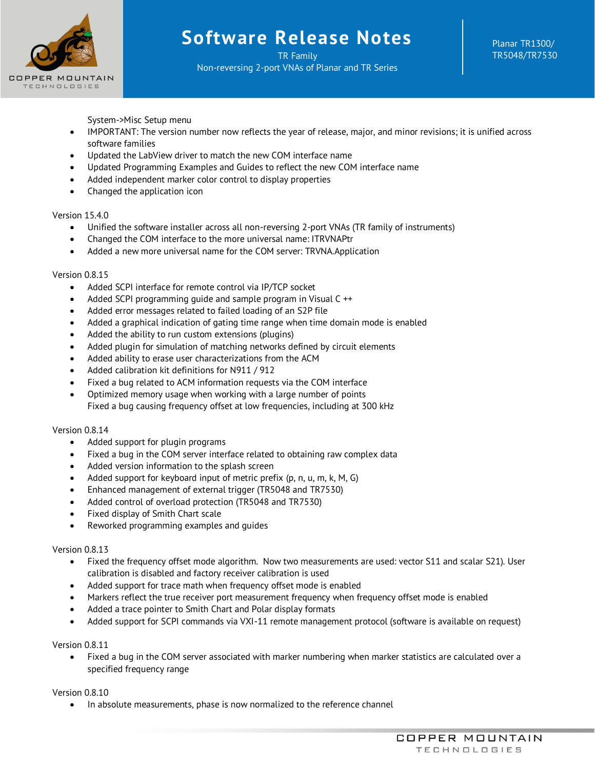

TR Family Non-reversing 2-port VNAs of Planar and TR Series

System->Misc Setup menu

- IMPORTANT: The version number now reflects the year of release, major, and minor revisions; it is unified across software families
- Updated the LabView driver to match the new COM interface name
- Updated Programming Examples and Guides to reflect the new COM interface name
- Added independent marker color control to display properties
- Changed the application icon

## Version 15.4.0

- Unified the software installer across all non-reversing 2-port VNAs (TR family of instruments)
- Changed the COM interface to the more universal name: ITRVNAPtr
- Added a new more universal name for the COM server: TRVNA.Application

## Version 0.8.15

- Added SCPI interface for remote control via IP/TCP socket
- Added SCPI programming guide and sample program in Visual C ++
- Added error messages related to failed loading of an S2P file
- Added a graphical indication of gating time range when time domain mode is enabled
- Added the ability to run custom extensions (plugins)
- Added plugin for simulation of matching networks defined by circuit elements
- Added ability to erase user characterizations from the ACM
- Added calibration kit definitions for N911 / 912
- Fixed a bug related to ACM information requests via the COM interface
- Optimized memory usage when working with a large number of points Fixed a bug causing frequency offset at low frequencies, including at 300 kHz

## Version 0.8.14

- Added support for plugin programs
- Fixed a bug in the COM server interface related to obtaining raw complex data
- Added version information to the splash screen
- Added support for keyboard input of metric prefix (p, n, u, m, k, M, G)
- Enhanced management of external trigger (TR5048 and TR7530)
- Added control of overload protection (TR5048 and TR7530)
- Fixed display of Smith Chart scale
- Reworked programming examples and guides

## Version 0.8.13

- Fixed the frequency offset mode algorithm. Now two measurements are used: vector S11 and scalar S21). User calibration is disabled and factory receiver calibration is used
- Added support for trace math when frequency offset mode is enabled
- Markers reflect the true receiver port measurement frequency when frequency offset mode is enabled
- Added a trace pointer to Smith Chart and Polar display formats
- Added support for SCPI commands via VXI-11 remote management protocol (software is available on request)

Version 0.8.11

• Fixed a bug in the COM server associated with marker numbering when marker statistics are calculated over a specified frequency range

## Version 0.8.10

• In absolute measurements, phase is now normalized to the reference channel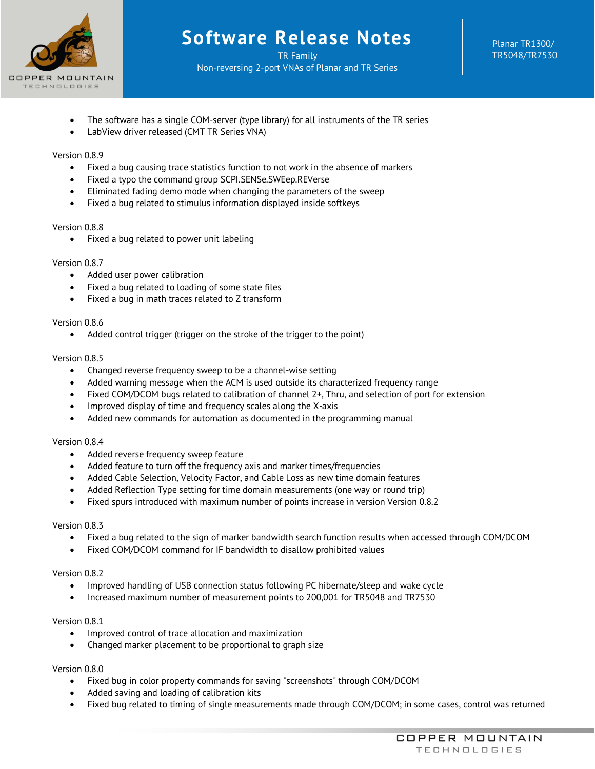

TR Family Non-reversing 2-port VNAs of Planar and TR Series Planar TR1300/ TR5048/TR7530

- The software has a single COM-server (type library) for all instruments of the TR series
- LabView driver released (CMT TR Series VNA)

## Version 0.8.9

- Fixed a bug causing trace statistics function to not work in the absence of markers
- Fixed a typo the command group SCPI.SENSe.SWEep.REVerse
- Eliminated fading demo mode when changing the parameters of the sweep
- Fixed a bug related to stimulus information displayed inside softkeys

## Version 0.8.8

• Fixed a bug related to power unit labeling

## Version 0.8.7

- Added user power calibration
- Fixed a bug related to loading of some state files
- Fixed a bug in math traces related to Z transform

## Version 0.8.6

• Added control trigger (trigger on the stroke of the trigger to the point)

## Version 0.8.5

- Changed reverse frequency sweep to be a channel-wise setting
- Added warning message when the ACM is used outside its characterized frequency range
- Fixed COM/DCOM bugs related to calibration of channel 2+, Thru, and selection of port for extension
- Improved display of time and frequency scales along the X-axis
- Added new commands for automation as documented in the programming manual

## Version 0.8.4

- Added reverse frequency sweep feature
- Added feature to turn off the frequency axis and marker times/frequencies
- Added Cable Selection, Velocity Factor, and Cable Loss as new time domain features
- Added Reflection Type setting for time domain measurements (one way or round trip)
- Fixed spurs introduced with maximum number of points increase in version Version 0.8.2

## Version 0.8.3

- Fixed a bug related to the sign of marker bandwidth search function results when accessed through COM/DCOM
- Fixed COM/DCOM command for IF bandwidth to disallow prohibited values

## Version 0.8.2

- Improved handling of USB connection status following PC hibernate/sleep and wake cycle
- Increased maximum number of measurement points to 200,001 for TR5048 and TR7530

## Version 0.8.1

- Improved control of trace allocation and maximization
- Changed marker placement to be proportional to graph size

# Version 0.8.0

- Fixed bug in color property commands for saving "screenshots" through COM/DCOM
- Added saving and loading of calibration kits
- Fixed bug related to timing of single measurements made through COM/DCOM; in some cases, control was returned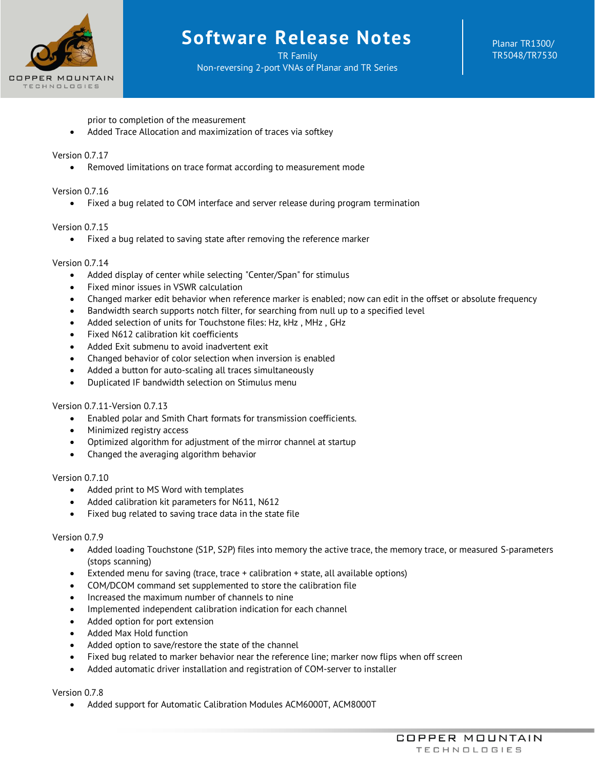

TR Family Non-reversing 2-port VNAs of Planar and TR Series Planar TR1300/ TR5048/TR7530

prior to completion of the measurement

• Added Trace Allocation and maximization of traces via softkey

## Version 0.7.17

• Removed limitations on trace format according to measurement mode

Version 0.7.16

• Fixed a bug related to COM interface and server release during program termination

## Version 0.7.15

• Fixed a bug related to saving state after removing the reference marker

## Version 0.7.14

- Added display of center while selecting "Center/Span" for stimulus
- Fixed minor issues in VSWR calculation
- Changed marker edit behavior when reference marker is enabled; now can edit in the offset or absolute frequency
- Bandwidth search supports notch filter, for searching from null up to a specified level
- Added selection of units for Touchstone files: Hz, kHz , MHz , GHz
- Fixed N612 calibration kit coefficients
- Added Exit submenu to avoid inadvertent exit
- Changed behavior of color selection when inversion is enabled
- Added a button for auto-scaling all traces simultaneously
- Duplicated IF bandwidth selection on Stimulus menu

# Version 0.7.11-Version 0.7.13

- Enabled polar and Smith Chart formats for transmission coefficients.
- Minimized registry access
- Optimized algorithm for adjustment of the mirror channel at startup
- Changed the averaging algorithm behavior

## Version 0.7.10

- Added print to MS Word with templates
- Added calibration kit parameters for N611, N612
- Fixed bug related to saving trace data in the state file

## Version 0.7.9

- Added loading Touchstone (S1P, S2P) files into memory the active trace, the memory trace, or measured S-parameters (stops scanning)
- Extended menu for saving (trace, trace + calibration + state, all available options)
- COM/DCOM command set supplemented to store the calibration file
- Increased the maximum number of channels to nine
- Implemented independent calibration indication for each channel
- Added option for port extension
- Added Max Hold function
- Added option to save/restore the state of the channel
- Fixed bug related to marker behavior near the reference line; marker now flips when off screen
- Added automatic driver installation and registration of COM-server to installer

## Version 0.7.8

• Added support for Automatic Calibration Modules ACM6000T, ACM8000T